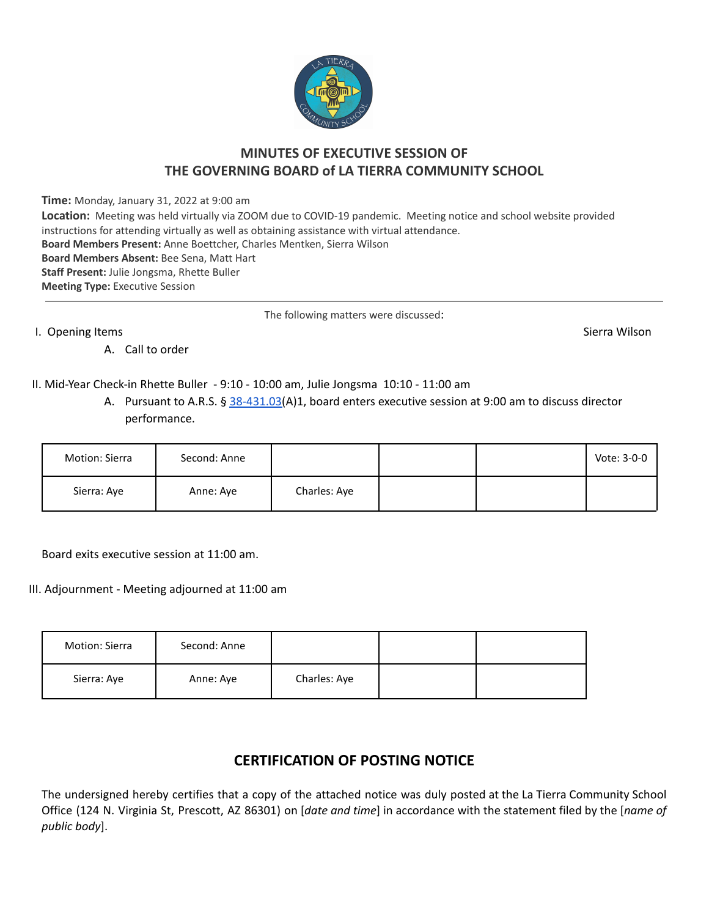

## **MINUTES OF EXECUTIVE SESSION OF THE GOVERNING BOARD of LA TIERRA COMMUNITY SCHOOL**

**Time:** Monday, January 31, 2022 at 9:00 am

| <b>Location:</b> Meeting was held virtually via ZOOM due to COVID-19 pandemic. Meeting notice and school website provided |
|---------------------------------------------------------------------------------------------------------------------------|
| instructions for attending virtually as well as obtaining assistance with virtual attendance.                             |
| Board Members Present: Anne Boettcher, Charles Mentken, Sierra Wilson                                                     |
| Board Members Absent: Bee Sena, Matt Hart                                                                                 |
| <b>Staff Present: Julie Jongsma, Rhette Buller</b>                                                                        |
| <b>Meeting Type: Executive Session</b>                                                                                    |
|                                                                                                                           |

The following matters were discussed:

I. Opening Items Sierra Wilson

A. Call to order

II. Mid-Year Check-in Rhette Buller - 9:10 - 10:00 am, Julie Jongsma 10:10 - 11:00 am

A. Pursuant to A.R.S. § [38-431.03\(](http://www.azleg.gov/viewdocument/?docName=http://www.azleg.gov/ars/38/00431-03.htm)A)1, board enters executive session at 9:00 am to discuss director performance.

| Motion: Sierra | Second: Anne |              |  | Vote: 3-0-0 |
|----------------|--------------|--------------|--|-------------|
| Sierra: Aye    | Anne: Aye    | Charles: Aye |  |             |

Board exits executive session at 11:00 am.

III. Adjournment - Meeting adjourned at 11:00 am

| Motion: Sierra | Second: Anne |              |  |
|----------------|--------------|--------------|--|
| Sierra: Aye    | Anne: Aye    | Charles: Aye |  |

## **CERTIFICATION OF POSTING NOTICE**

The undersigned hereby certifies that a copy of the attached notice was duly posted at the La Tierra Community School Office (124 N. Virginia St, Prescott, AZ 86301) on [*date and time*] in accordance with the statement filed by the [*name of public body*].